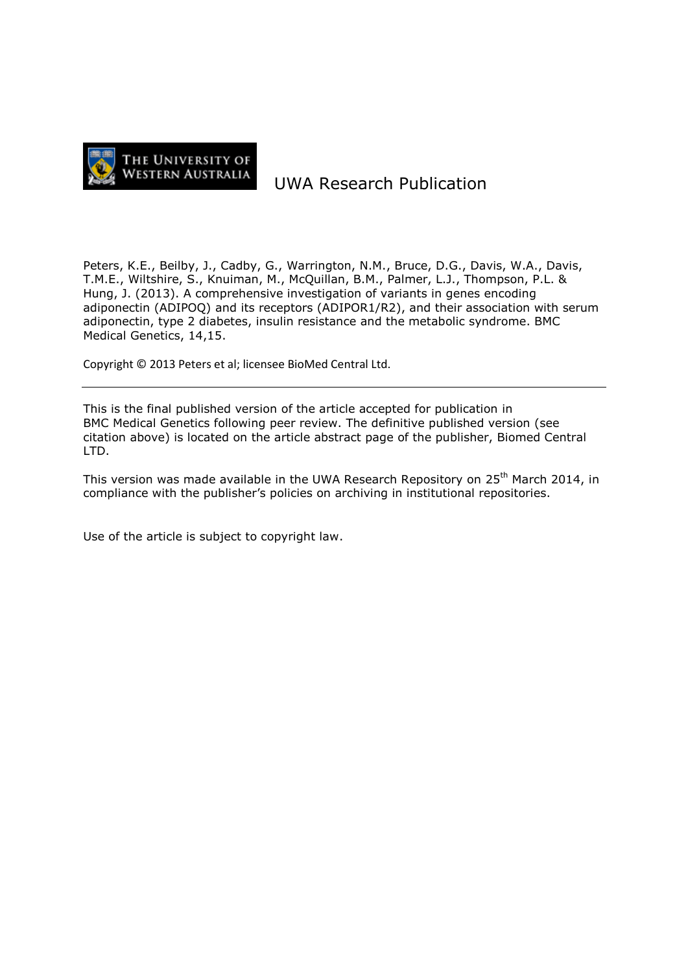

# UWA Research Publication

Peters, K.E., Beilby, J., Cadby, G., Warrington, N.M., Bruce, D.G., Davis, W.A., Davis, T.M.E., Wiltshire, S., Knuiman, M., McQuillan, B.M., Palmer, L.J., Thompson, P.L. & Hung, J. (2013). A comprehensive investigation of variants in genes encoding adiponectin (ADIPOQ) and its receptors (ADIPOR1/R2), and their association with serum adiponectin, type 2 diabetes, insulin resistance and the metabolic syndrome. BMC Medical Genetics, 14,15.

Copyright © 2013 Peters et al; licensee BioMed Central Ltd.

This is the final published version of the article accepted for publication in BMC Medical Genetics following peer review. The definitive published version (see citation above) is located on the article abstract page of the publisher, Biomed Central LTD.

This version was made available in the UWA Research Repository on 25<sup>th</sup> March 2014, in compliance with the publisher's policies on archiving in institutional repositories.

Use of the article is subject to copyright law.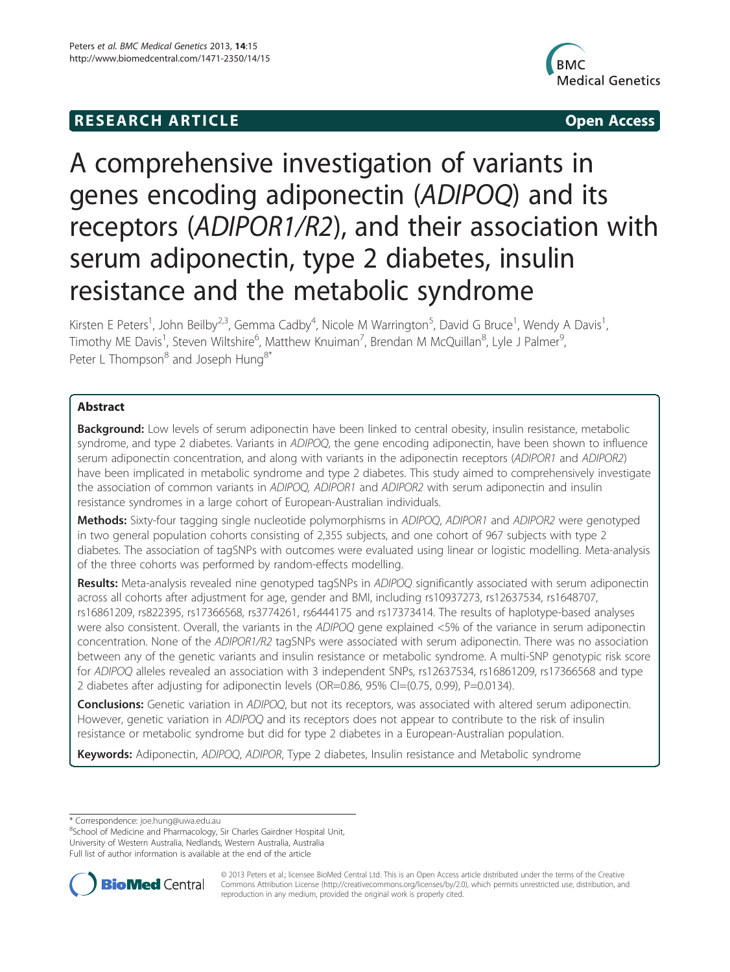# **RESEARCH ARTICLE Example 2014 12:30 The SEAR CHA RESEARCH ARTICLE**



# A comprehensive investigation of variants in genes encoding adiponectin (ADIPOQ) and its receptors (ADIPOR1/R2), and their association with serum adiponectin, type 2 diabetes, insulin resistance and the metabolic syndrome

Kirsten E Peters<sup>1</sup>, John Beilby<sup>2,3</sup>, Gemma Cadby<sup>4</sup>, Nicole M Warrington<sup>5</sup>, David G Bruce<sup>1</sup>, Wendy A Davis<sup>1</sup> , Timothy ME Davis<sup>1</sup>, Steven Wiltshire<sup>6</sup>, Matthew Knuiman<sup>7</sup>, Brendan M McQuillan<sup>8</sup>, Lyle J Palmer<sup>s</sup> , Peter L Thompson<sup>8</sup> and Joseph Hung<sup>8\*</sup>

# Abstract

**Background:** Low levels of serum adiponectin have been linked to central obesity, insulin resistance, metabolic syndrome, and type 2 diabetes. Variants in ADIPOQ, the gene encoding adiponectin, have been shown to influence serum adiponectin concentration, and along with variants in the adiponectin receptors (ADIPOR1 and ADIPOR2) have been implicated in metabolic syndrome and type 2 diabetes. This study aimed to comprehensively investigate the association of common variants in ADIPOQ, ADIPOR1 and ADIPOR2 with serum adiponectin and insulin resistance syndromes in a large cohort of European-Australian individuals.

**Methods:** Sixty-four tagging single nucleotide polymorphisms in ADIPOQ, ADIPOR1 and ADIPOR2 were genotyped in two general population cohorts consisting of 2,355 subjects, and one cohort of 967 subjects with type 2 diabetes. The association of tagSNPs with outcomes were evaluated using linear or logistic modelling. Meta-analysis of the three cohorts was performed by random-effects modelling.

Results: Meta-analysis revealed nine genotyped tagSNPs in ADIPOQ significantly associated with serum adiponectin across all cohorts after adjustment for age, gender and BMI, including rs10937273, rs12637534, rs1648707, rs16861209, rs822395, rs17366568, rs3774261, rs6444175 and rs17373414. The results of haplotype-based analyses were also consistent. Overall, the variants in the ADIPOQ gene explained <5% of the variance in serum adiponectin concentration. None of the ADIPOR1/R2 tagSNPs were associated with serum adiponectin. There was no association between any of the genetic variants and insulin resistance or metabolic syndrome. A multi-SNP genotypic risk score for ADIPOQ alleles revealed an association with 3 independent SNPs, rs12637534, rs16861209, rs17366568 and type 2 diabetes after adjusting for adiponectin levels (OR=0.86, 95% CI=(0.75, 0.99), P=0.0134).

**Conclusions:** Genetic variation in ADIPOQ, but not its receptors, was associated with altered serum adiponectin. However, genetic variation in ADIPOQ and its receptors does not appear to contribute to the risk of insulin resistance or metabolic syndrome but did for type 2 diabetes in a European-Australian population.

Keywords: Adiponectin, ADIPOQ, ADIPOR, Type 2 diabetes, Insulin resistance and Metabolic syndrome

\* Correspondence: [joe.hung@uwa.edu.au](mailto:joe.hung@uwa.edu.au) <sup>8</sup>

<sup>8</sup>School of Medicine and Pharmacology, Sir Charles Gairdner Hospital Unit, University of Western Australia, Nedlands, Western Australia, Australia

Full list of author information is available at the end of the article



© 2013 Peters et al.; licensee BioMed Central Ltd. This is an Open Access article distributed under the terms of the Creative Commons Attribution License [\(http://creativecommons.org/licenses/by/2.0\)](http://creativecommons.org/licenses/by/2.0), which permits unrestricted use, distribution, and reproduction in any medium, provided the original work is properly cited.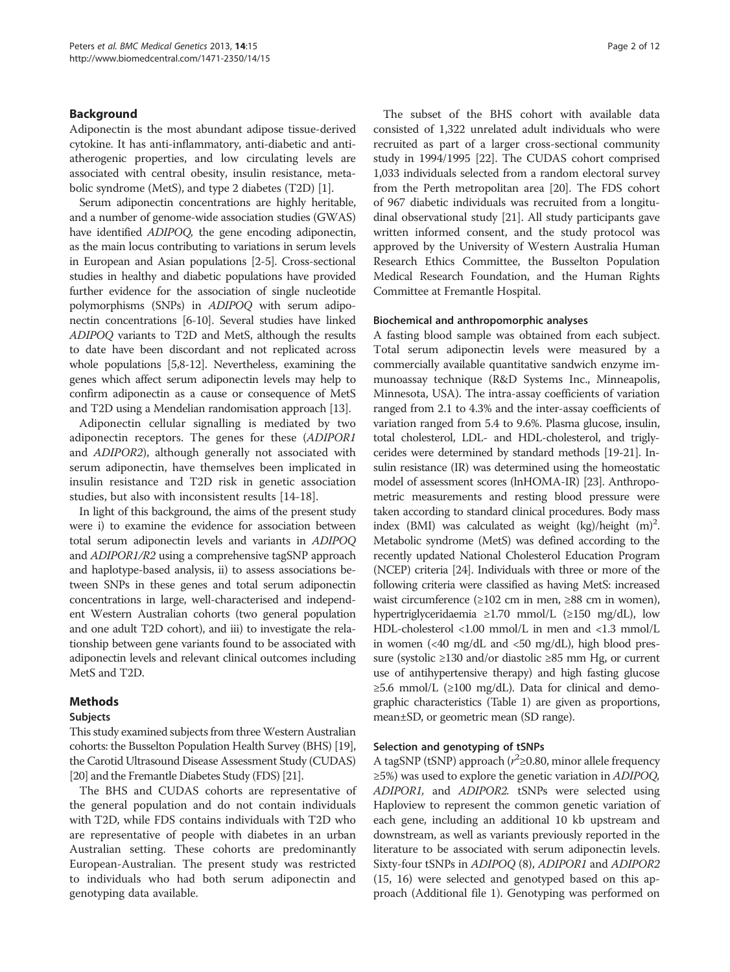# Background

Adiponectin is the most abundant adipose tissue-derived cytokine. It has anti-inflammatory, anti-diabetic and antiatherogenic properties, and low circulating levels are associated with central obesity, insulin resistance, metabolic syndrome (MetS), and type 2 diabetes (T2D) [[1](#page-10-0)].

Serum adiponectin concentrations are highly heritable, and a number of genome-wide association studies (GWAS) have identified ADIPOQ, the gene encoding adiponectin, as the main locus contributing to variations in serum levels in European and Asian populations [\[2-5](#page-10-0)]. Cross-sectional studies in healthy and diabetic populations have provided further evidence for the association of single nucleotide polymorphisms (SNPs) in ADIPOQ with serum adiponectin concentrations [\[6-10\]](#page-11-0). Several studies have linked ADIPOQ variants to T2D and MetS, although the results to date have been discordant and not replicated across whole populations [[5](#page-10-0)[,8](#page-11-0)-[12](#page-11-0)]. Nevertheless, examining the genes which affect serum adiponectin levels may help to confirm adiponectin as a cause or consequence of MetS and T2D using a Mendelian randomisation approach [\[13](#page-11-0)].

Adiponectin cellular signalling is mediated by two adiponectin receptors. The genes for these (ADIPOR1 and ADIPOR2), although generally not associated with serum adiponectin, have themselves been implicated in insulin resistance and T2D risk in genetic association studies, but also with inconsistent results [\[14](#page-11-0)-[18\]](#page-11-0).

In light of this background, the aims of the present study were i) to examine the evidence for association between total serum adiponectin levels and variants in ADIPOQ and ADIPOR1/R2 using a comprehensive tagSNP approach and haplotype-based analysis, ii) to assess associations between SNPs in these genes and total serum adiponectin concentrations in large, well-characterised and independent Western Australian cohorts (two general population and one adult T2D cohort), and iii) to investigate the relationship between gene variants found to be associated with adiponectin levels and relevant clinical outcomes including MetS and T2D.

# Methods

## Subjects

This study examined subjects from three Western Australian cohorts: the Busselton Population Health Survey (BHS) [\[19](#page-11-0)], the Carotid Ultrasound Disease Assessment Study (CUDAS) [[20](#page-11-0)] and the Fremantle Diabetes Study (FDS) [\[21\]](#page-11-0).

The BHS and CUDAS cohorts are representative of the general population and do not contain individuals with T2D, while FDS contains individuals with T2D who are representative of people with diabetes in an urban Australian setting. These cohorts are predominantly European-Australian. The present study was restricted to individuals who had both serum adiponectin and genotyping data available.

The subset of the BHS cohort with available data consisted of 1,322 unrelated adult individuals who were recruited as part of a larger cross-sectional community study in 1994/1995 [\[22\]](#page-11-0). The CUDAS cohort comprised 1,033 individuals selected from a random electoral survey from the Perth metropolitan area [[20](#page-11-0)]. The FDS cohort of 967 diabetic individuals was recruited from a longitudinal observational study [\[21](#page-11-0)]. All study participants gave written informed consent, and the study protocol was approved by the University of Western Australia Human Research Ethics Committee, the Busselton Population Medical Research Foundation, and the Human Rights Committee at Fremantle Hospital.

## Biochemical and anthropomorphic analyses

A fasting blood sample was obtained from each subject. Total serum adiponectin levels were measured by a commercially available quantitative sandwich enzyme immunoassay technique (R&D Systems Inc., Minneapolis, Minnesota, USA). The intra-assay coefficients of variation ranged from 2.1 to 4.3% and the inter-assay coefficients of variation ranged from 5.4 to 9.6%. Plasma glucose, insulin, total cholesterol, LDL- and HDL-cholesterol, and triglycerides were determined by standard methods [\[19](#page-11-0)-[21](#page-11-0)]. Insulin resistance (IR) was determined using the homeostatic model of assessment scores (lnHOMA-IR) [\[23\]](#page-11-0). Anthropometric measurements and resting blood pressure were taken according to standard clinical procedures. Body mass index (BMI) was calculated as weight (kg)/height (m)<sup>2</sup>. Metabolic syndrome (MetS) was defined according to the recently updated National Cholesterol Education Program (NCEP) criteria [\[24\]](#page-11-0). Individuals with three or more of the following criteria were classified as having MetS: increased waist circumference (≥102 cm in men, ≥88 cm in women), hypertriglyceridaemia ≥1.70 mmol/L (≥150 mg/dL), low HDL-cholesterol <1.00 mmol/L in men and <1.3 mmol/L in women (<40 mg/dL and <50 mg/dL), high blood pressure (systolic ≥130 and/or diastolic ≥85 mm Hg, or current use of antihypertensive therapy) and high fasting glucose  $≥5.6$  mmol/L ( $≥100$  mg/dL). Data for clinical and demographic characteristics (Table [1](#page-3-0)) are given as proportions, mean±SD, or geometric mean (SD range).

## Selection and genotyping of tSNPs

A tagSNP (tSNP) approach ( $r^2 \ge 0.80$ , minor allele frequency  $\geq$ 5%) was used to explore the genetic variation in *ADIPOQ*, ADIPOR1, and ADIPOR2. tSNPs were selected using Haploview to represent the common genetic variation of each gene, including an additional 10 kb upstream and downstream, as well as variants previously reported in the literature to be associated with serum adiponectin levels. Sixty-four tSNPs in ADIPOQ (8), ADIPOR1 and ADIPOR2 (15, 16) were selected and genotyped based on this approach (Additional file [1](#page-10-0)). Genotyping was performed on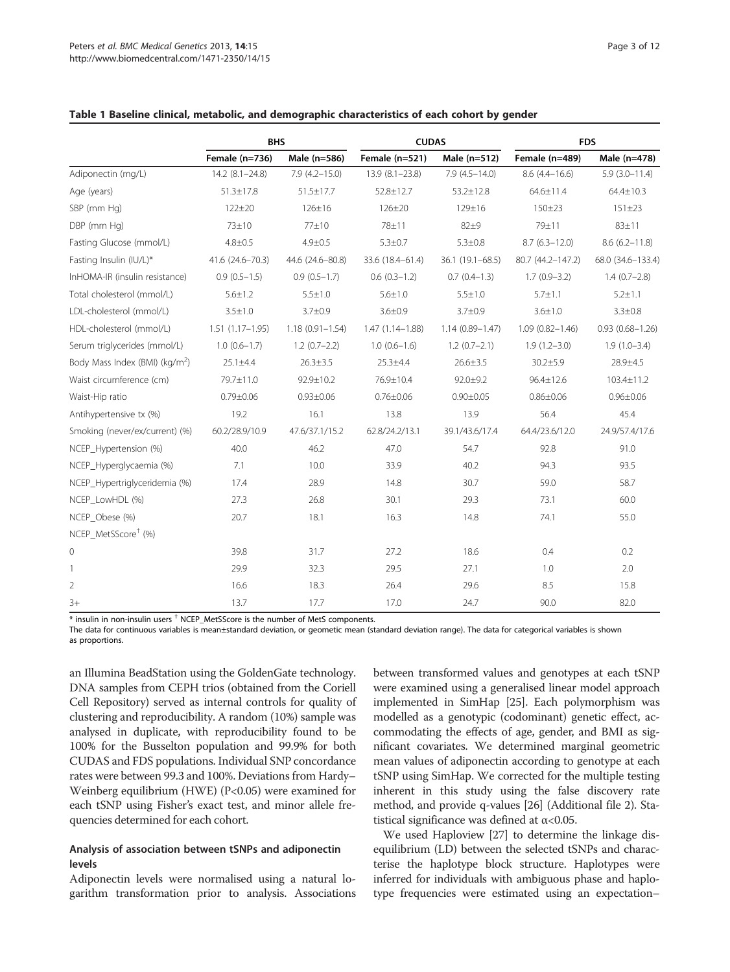|                                            | <b>BHS</b>          |                     | <b>CUDAS</b>        |                     | <b>FDS</b>          |                     |
|--------------------------------------------|---------------------|---------------------|---------------------|---------------------|---------------------|---------------------|
|                                            | Female (n=736)      | Male (n=586)        | Female (n=521)      | Male (n=512)        | Female (n=489)      | Male (n=478)        |
| Adiponectin (mg/L)                         | $14.2 (8.1 - 24.8)$ | $7.9(4.2 - 15.0)$   | $13.9(8.1 - 23.8)$  | $7.9(4.5 - 14.0)$   | $8.6(4.4 - 16.6)$   | $5.9(3.0-11.4)$     |
| Age (years)                                | $51.3 \pm 17.8$     | $51.5 \pm 17.7$     | 52.8±12.7           | $53.2 \pm 12.8$     | $64.6 \pm 11.4$     | $64.4 \pm 10.3$     |
| SBP (mm Hg)                                | $122 \pm 20$        | $126 \pm 16$        | $126 \pm 20$        | 129±16              | $150 + 23$          | $151 \pm 23$        |
| DBP (mm Hg)                                | 73±10               | 77±10               | 78±11               | 82±9                | 79±11               | 83±11               |
| Fasting Glucose (mmol/L)                   | $4.8 \pm 0.5$       | $4.9 \pm 0.5$       | $5.3 \pm 0.7$       | $5.3 \pm 0.8$       | $8.7(6.3 - 12.0)$   | $8.6(6.2 - 11.8)$   |
| Fasting Insulin (IU/L)*                    | 41.6 (24.6-70.3)    | 44.6 (24.6-80.8)    | 33.6 (18.4-61.4)    | 36.1 (19.1-68.5)    | 80.7 (44.2-147.2)   | 68.0 (34.6-133.4)   |
| InHOMA-IR (insulin resistance)             | $0.9(0.5-1.5)$      | $0.9(0.5-1.7)$      | $0.6(0.3-1.2)$      | $0.7(0.4-1.3)$      | $1.7(0.9-3.2)$      | $1.4(0.7-2.8)$      |
| Total cholesterol (mmol/L)                 | $5.6 \pm 1.2$       | $5.5 \pm 1.0$       | $5.6 \pm 1.0$       | $5.5 \pm 1.0$       | $5.7 \pm 1.1$       | $5.2 \pm 1.1$       |
| LDL-cholesterol (mmol/L)                   | $3.5 \pm 1.0$       | $3.7 + 0.9$         | $3.6 \pm 0.9$       | $3.7 + 0.9$         | $3.6 \pm 1.0$       | $3.3 \pm 0.8$       |
| HDL-cholesterol (mmol/L)                   | $1.51(1.17-1.95)$   | $1.18(0.91 - 1.54)$ | $1.47(1.14 - 1.88)$ | $1.14(0.89 - 1.47)$ | $1.09(0.82 - 1.46)$ | $0.93(0.68 - 1.26)$ |
| Serum triglycerides (mmol/L)               | $1.0(0.6-1.7)$      | $1.2(0.7-2.2)$      | $1.0(0.6-1.6)$      | $1.2(0.7-2.1)$      | $1.9(1.2 - 3.0)$    | $1.9(1.0-3.4)$      |
| Body Mass Index (BMI) (kg/m <sup>2</sup> ) | $25.1 \pm 4.4$      | $26.3 \pm 3.5$      | $25.3 + 4.4$        | $26.6 \pm 3.5$      | $30.2 \pm 5.9$      | 28.9±4.5            |
| Waist circumference (cm)                   | 79.7±11.0           | 92.9±10.2           | 76.9±10.4           | $92.0 \pm 9.2$      | 96.4±12.6           | $103.4 \pm 11.2$    |
| Waist-Hip ratio                            | $0.79 \pm 0.06$     | $0.93 \pm 0.06$     | $0.76 \pm 0.06$     | $0.90 \pm 0.05$     | $0.86 \pm 0.06$     | $0.96 \pm 0.06$     |
| Antihypertensive tx (%)                    | 19.2                | 16.1                | 13.8                | 13.9                | 56.4                | 45.4                |
| Smoking (never/ex/current) (%)             | 60.2/28.9/10.9      | 47.6/37.1/15.2      | 62.8/24.2/13.1      | 39.1/43.6/17.4      | 64.4/23.6/12.0      | 24.9/57.4/17.6      |
| NCEP_Hypertension (%)                      | 40.0                | 46.2                | 47.0                | 54.7                | 92.8                | 91.0                |
| NCEP_Hyperglycaemia (%)                    | 7.1                 | 10.0                | 33.9                | 40.2                | 94.3                | 93.5                |
| NCEP Hypertriglyceridemia (%)              | 17.4                | 28.9                | 14.8                | 30.7                | 59.0                | 58.7                |
| NCEP_LowHDL (%)                            | 27.3                | 26.8                | 30.1                | 29.3                | 73.1                | 60.0                |
| NCEP_Obese (%)                             | 20.7                | 18.1                | 16.3                | 14.8                | 74.1                | 55.0                |
| NCEP_MetSScore <sup>+</sup> (%)            |                     |                     |                     |                     |                     |                     |
| 0                                          | 39.8                | 31.7                | 27.2                | 18.6                | 0.4                 | 0.2                 |
| 1                                          | 29.9                | 32.3                | 29.5                | 27.1                | 1.0                 | 2.0                 |
| $\overline{2}$                             | 16.6                | 18.3                | 26.4                | 29.6                | 8.5                 | 15.8                |
| $3+$                                       | 13.7                | 17.7                | 17.0                | 24.7                | 90.0                | 82.0                |

# <span id="page-3-0"></span>Table 1 Baseline clinical, metabolic, and demographic characteristics of each cohort by gender

\* insulin in non-insulin users † NCEP\_MetSScore is the number of MetS components.

The data for continuous variables is mean±standard deviation, or geometic mean (standard deviation range). The data for categorical variables is shown as proportions.

an Illumina BeadStation using the GoldenGate technology. DNA samples from CEPH trios (obtained from the Coriell Cell Repository) served as internal controls for quality of clustering and reproducibility. A random (10%) sample was analysed in duplicate, with reproducibility found to be 100% for the Busselton population and 99.9% for both CUDAS and FDS populations. Individual SNP concordance rates were between 99.3 and 100%. Deviations from Hardy– Weinberg equilibrium (HWE) (P<0.05) were examined for each tSNP using Fisher's exact test, and minor allele frequencies determined for each cohort.

# Analysis of association between tSNPs and adiponectin levels

Adiponectin levels were normalised using a natural logarithm transformation prior to analysis. Associations between transformed values and genotypes at each tSNP were examined using a generalised linear model approach implemented in SimHap [\[25\]](#page-11-0). Each polymorphism was modelled as a genotypic (codominant) genetic effect, accommodating the effects of age, gender, and BMI as significant covariates. We determined marginal geometric mean values of adiponectin according to genotype at each tSNP using SimHap. We corrected for the multiple testing inherent in this study using the false discovery rate method, and provide q-values [[26](#page-11-0)] (Additional file [2\)](#page-10-0). Statistical significance was defined at  $\alpha$ <0.05.

We used Haploview [\[27\]](#page-11-0) to determine the linkage disequilibrium (LD) between the selected tSNPs and characterise the haplotype block structure. Haplotypes were inferred for individuals with ambiguous phase and haplotype frequencies were estimated using an expectation–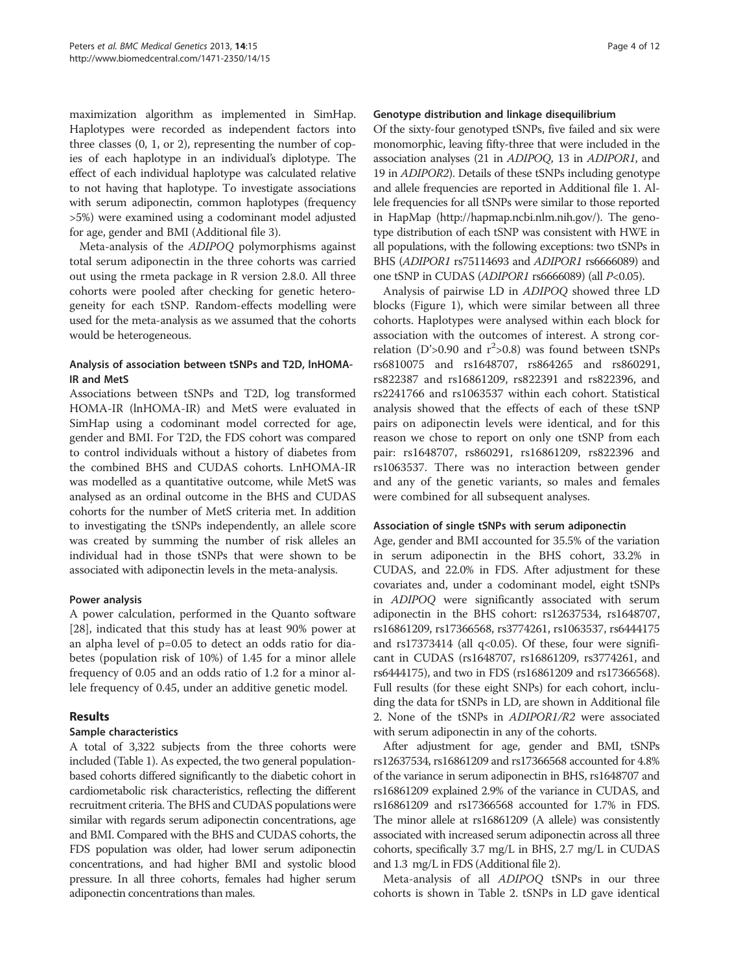maximization algorithm as implemented in SimHap. Haplotypes were recorded as independent factors into three classes (0, 1, or 2), representing the number of copies of each haplotype in an individual's diplotype. The effect of each individual haplotype was calculated relative to not having that haplotype. To investigate associations with serum adiponectin, common haplotypes (frequency >5%) were examined using a codominant model adjusted for age, gender and BMI (Additional file [3](#page-10-0)).

Meta-analysis of the ADIPOQ polymorphisms against total serum adiponectin in the three cohorts was carried out using the rmeta package in R version 2.8.0. All three cohorts were pooled after checking for genetic heterogeneity for each tSNP. Random-effects modelling were used for the meta-analysis as we assumed that the cohorts would be heterogeneous.

# Analysis of association between tSNPs and T2D, lnHOMA-IR and MetS

Associations between tSNPs and T2D, log transformed HOMA-IR (lnHOMA-IR) and MetS were evaluated in SimHap using a codominant model corrected for age, gender and BMI. For T2D, the FDS cohort was compared to control individuals without a history of diabetes from the combined BHS and CUDAS cohorts. LnHOMA-IR was modelled as a quantitative outcome, while MetS was analysed as an ordinal outcome in the BHS and CUDAS cohorts for the number of MetS criteria met. In addition to investigating the tSNPs independently, an allele score was created by summing the number of risk alleles an individual had in those tSNPs that were shown to be associated with adiponectin levels in the meta-analysis.

# Power analysis

A power calculation, performed in the Quanto software [[28\]](#page-11-0), indicated that this study has at least 90% power at an alpha level of p=0.05 to detect an odds ratio for diabetes (population risk of 10%) of 1.45 for a minor allele frequency of 0.05 and an odds ratio of 1.2 for a minor allele frequency of 0.45, under an additive genetic model.

# Results

## Sample characteristics

A total of 3,322 subjects from the three cohorts were included (Table [1\)](#page-3-0). As expected, the two general populationbased cohorts differed significantly to the diabetic cohort in cardiometabolic risk characteristics, reflecting the different recruitment criteria. The BHS and CUDAS populations were similar with regards serum adiponectin concentrations, age and BMI. Compared with the BHS and CUDAS cohorts, the FDS population was older, had lower serum adiponectin concentrations, and had higher BMI and systolic blood pressure. In all three cohorts, females had higher serum adiponectin concentrations than males.

# Genotype distribution and linkage disequilibrium

Of the sixty-four genotyped tSNPs, five failed and six were monomorphic, leaving fifty-three that were included in the association analyses (21 in ADIPOQ, 13 in ADIPOR1, and 19 in ADIPOR2). Details of these tSNPs including genotype and allele frequencies are reported in Additional file [1.](#page-10-0) Allele frequencies for all tSNPs were similar to those reported in HapMap [\(http://hapmap.ncbi.nlm.nih.gov/\)](http://hapmap.ncbi.nlm.nih.gov/). The genotype distribution of each tSNP was consistent with HWE in all populations, with the following exceptions: two tSNPs in BHS (ADIPOR1 rs75114693 and ADIPOR1 rs6666089) and one tSNP in CUDAS (ADIPOR1 rs6666089) (all P<0.05).

Analysis of pairwise LD in ADIPOQ showed three LD blocks (Figure [1\)](#page-5-0), which were similar between all three cohorts. Haplotypes were analysed within each block for association with the outcomes of interest. A strong correlation (D'>0.90 and  $r^2$ >0.8) was found between tSNPs rs6810075 and rs1648707, rs864265 and rs860291, rs822387 and rs16861209, rs822391 and rs822396, and rs2241766 and rs1063537 within each cohort. Statistical analysis showed that the effects of each of these tSNP pairs on adiponectin levels were identical, and for this reason we chose to report on only one tSNP from each pair: rs1648707, rs860291, rs16861209, rs822396 and rs1063537. There was no interaction between gender and any of the genetic variants, so males and females were combined for all subsequent analyses.

## Association of single tSNPs with serum adiponectin

Age, gender and BMI accounted for 35.5% of the variation in serum adiponectin in the BHS cohort, 33.2% in CUDAS, and 22.0% in FDS. After adjustment for these covariates and, under a codominant model, eight tSNPs in ADIPOQ were significantly associated with serum adiponectin in the BHS cohort: rs12637534, rs1648707, rs16861209, rs17366568, rs3774261, rs1063537, rs6444175 and  $rs17373414$  (all  $q<0.05$ ). Of these, four were significant in CUDAS (rs1648707, rs16861209, rs3774261, and rs6444175), and two in FDS (rs16861209 and rs17366568). Full results (for these eight SNPs) for each cohort, including the data for tSNPs in LD, are shown in Additional file [2.](#page-10-0) None of the tSNPs in ADIPOR1/R2 were associated with serum adiponectin in any of the cohorts.

After adjustment for age, gender and BMI, tSNPs rs12637534, rs16861209 and rs17366568 accounted for 4.8% of the variance in serum adiponectin in BHS, rs1648707 and rs16861209 explained 2.9% of the variance in CUDAS, and rs16861209 and rs17366568 accounted for 1.7% in FDS. The minor allele at rs16861209 (A allele) was consistently associated with increased serum adiponectin across all three cohorts, specifically 3.7 mg/L in BHS, 2.7 mg/L in CUDAS and 1.3 mg/L in FDS (Additional file [2](#page-10-0)).

Meta-analysis of all ADIPOQ tSNPs in our three cohorts is shown in Table [2.](#page-6-0) tSNPs in LD gave identical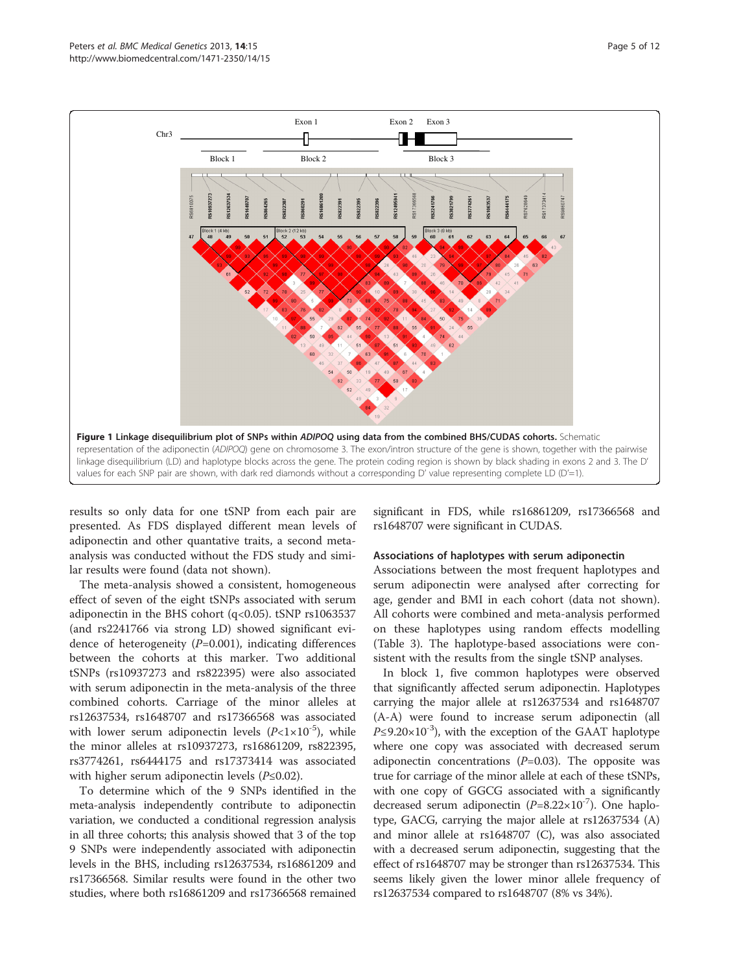<span id="page-5-0"></span>

results so only data for one tSNP from each pair are presented. As FDS displayed different mean levels of adiponectin and other quantative traits, a second metaanalysis was conducted without the FDS study and similar results were found (data not shown).

The meta-analysis showed a consistent, homogeneous effect of seven of the eight tSNPs associated with serum adiponectin in the BHS cohort  $(q<0.05)$ . tSNP rs1063537 (and rs2241766 via strong LD) showed significant evidence of heterogeneity  $(P=0.001)$ , indicating differences between the cohorts at this marker. Two additional tSNPs (rs10937273 and rs822395) were also associated with serum adiponectin in the meta-analysis of the three combined cohorts. Carriage of the minor alleles at rs12637534, rs1648707 and rs17366568 was associated with lower serum adiponectin levels  $(P<1\times10^{-5})$ , while the minor alleles at rs10937273, rs16861209, rs822395, rs3774261, rs6444175 and rs17373414 was associated with higher serum adiponectin levels  $(P \le 0.02)$ .

To determine which of the 9 SNPs identified in the meta-analysis independently contribute to adiponectin variation, we conducted a conditional regression analysis in all three cohorts; this analysis showed that 3 of the top 9 SNPs were independently associated with adiponectin levels in the BHS, including rs12637534, rs16861209 and rs17366568. Similar results were found in the other two studies, where both rs16861209 and rs17366568 remained significant in FDS, while rs16861209, rs17366568 and rs1648707 were significant in CUDAS.

## Associations of haplotypes with serum adiponectin

Associations between the most frequent haplotypes and serum adiponectin were analysed after correcting for age, gender and BMI in each cohort (data not shown). All cohorts were combined and meta-analysis performed on these haplotypes using random effects modelling (Table [3\)](#page-8-0). The haplotype-based associations were consistent with the results from the single tSNP analyses.

In block 1, five common haplotypes were observed that significantly affected serum adiponectin. Haplotypes carrying the major allele at rs12637534 and rs1648707 (A-A) were found to increase serum adiponectin (all  $P \leq 9.20 \times 10^{-3}$ ), with the exception of the GAAT haplotype where one copy was associated with decreased serum adiponectin concentrations  $(P=0.03)$ . The opposite was true for carriage of the minor allele at each of these tSNPs, with one copy of GGCG associated with a significantly decreased serum adiponectin  $(P=8.22\times10^{-7})$ . One haplotype, GACG, carrying the major allele at rs12637534 (A) and minor allele at rs1648707 (C), was also associated with a decreased serum adiponectin, suggesting that the effect of rs1648707 may be stronger than rs12637534. This seems likely given the lower minor allele frequency of rs12637534 compared to rs1648707 (8% vs 34%).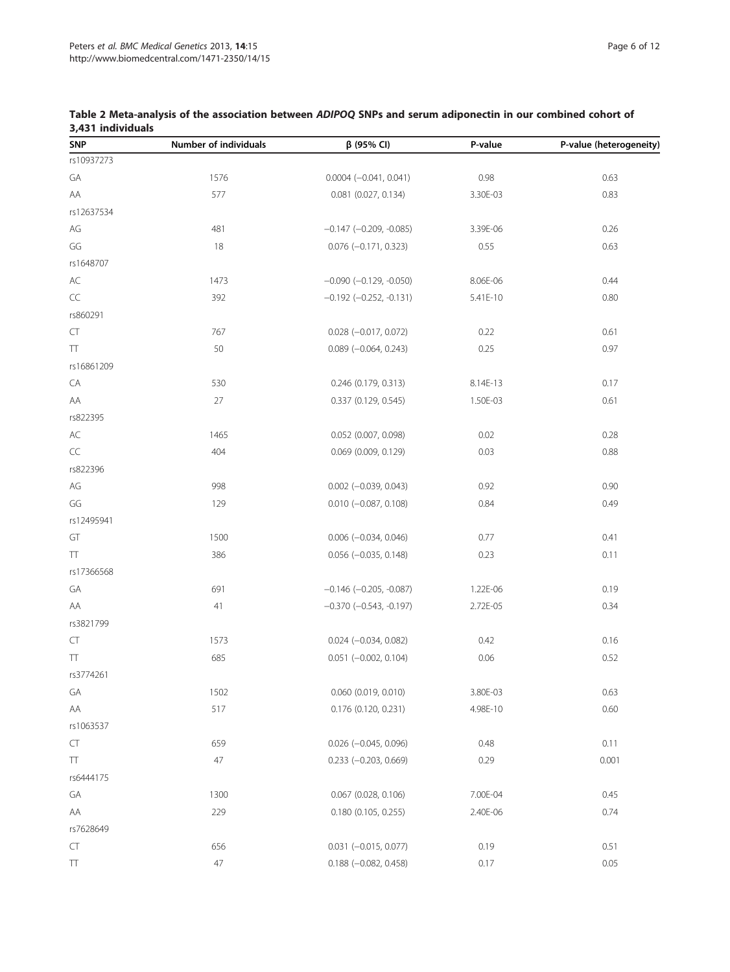| <b>SNP</b>        | Number of individuals | $\beta$ (95% CI)                 | P-value  | P-value (heterogeneity) |
|-------------------|-----------------------|----------------------------------|----------|-------------------------|
| rs10937273        |                       |                                  |          |                         |
| GA                | 1576                  | $0.0004 (-0.041, 0.041)$         | 0.98     | 0.63                    |
| AA                | 577                   | 0.081 (0.027, 0.134)             | 3.30E-03 | 0.83                    |
| rs12637534        |                       |                                  |          |                         |
| AG                | 481                   | $-0.147$ $(-0.209, -0.085)$      | 3.39E-06 | 0.26                    |
| GG                | 18                    | $0.076 (-0.171, 0.323)$          | 0.55     | 0.63                    |
| rs1648707         |                       |                                  |          |                         |
| AC                | 1473                  | $-0.090$ $(-0.129, -0.050)$      | 8.06E-06 | 0.44                    |
| $\subset \subset$ | 392                   | $-0.192$ $(-0.252, -0.131)$      | 5.41E-10 | 0.80                    |
| rs860291          |                       |                                  |          |                         |
| ${\sf CT}$        | 767                   | $0.028 (-0.017, 0.072)$          | 0.22     | 0.61                    |
| TΤ                | 50                    | $0.089 (-0.064, 0.243)$          | 0.25     | 0.97                    |
| rs16861209        |                       |                                  |          |                         |
| CA                | 530                   | 0.246 (0.179, 0.313)             | 8.14E-13 | 0.17                    |
| AA                | $27\,$                | 0.337 (0.129, 0.545)             | 1.50E-03 | 0.61                    |
| rs822395          |                       |                                  |          |                         |
| AC                | 1465                  | 0.052 (0.007, 0.098)             | 0.02     | 0.28                    |
| $\subset \subset$ | 404                   | 0.069 (0.009, 0.129)             | 0.03     | 0.88                    |
| rs822396          |                       |                                  |          |                         |
| AG                | 998                   | $0.002$ (-0.039, 0.043)          | 0.92     | 0.90                    |
| GG                | 129                   | $0.010 (-0.087, 0.108)$          | 0.84     | 0.49                    |
| rs12495941        |                       |                                  |          |                         |
| GT                | 1500                  | $0.006 (-0.034, 0.046)$          | 0.77     | 0.41                    |
| TΤ                | 386                   | $0.056 (-0.035, 0.148)$          | 0.23     | 0.11                    |
| rs17366568        |                       |                                  |          |                         |
| GA                | 691                   | $-0.146$ ( $-0.205$ , $-0.087$ ) | 1.22E-06 | 0.19                    |
| AA                | 41                    | $-0.370$ $(-0.543, -0.197)$      | 2.72E-05 | 0.34                    |
| rs3821799         |                       |                                  |          |                         |
| CT                | 1573                  | $0.024 (-0.034, 0.082)$          | 0.42     | 0.16                    |
| TΤ                | 685                   | $0.051 (-0.002, 0.104)$          | 0.06     | 0.52                    |
| rs3774261         |                       |                                  |          |                         |
| GА                | 1502                  | 0.060 (0.019, 0.010)             | 3.80E-03 | 0.63                    |
| AA                | 517                   | 0.176 (0.120, 0.231)             | 4.98E-10 | 0.60                    |
| rs1063537         |                       |                                  |          |                         |
| CT                | 659                   | $0.026$ ( $-0.045$ , 0.096)      | 0.48     | 0.11                    |
| $\top\top$        | $47\,$                | $0.233 (-0.203, 0.669)$          | 0.29     | 0.001                   |
| rs6444175         |                       |                                  |          |                         |
| GA                | 1300                  | 0.067 (0.028, 0.106)             | 7.00E-04 | 0.45                    |
| AA                | 229                   | 0.180 (0.105, 0.255)             | 2.40E-06 | 0.74                    |
| rs7628649         |                       |                                  |          |                         |
| CT                | 656                   | $0.031 (-0.015, 0.077)$          | 0.19     | 0.51                    |
| TΤ                | 47                    | $0.188 (-0.082, 0.458)$          | 0.17     | 0.05                    |
|                   |                       |                                  |          |                         |

# <span id="page-6-0"></span>Table 2 Meta-analysis of the association between ADIPOQ SNPs and serum adiponectin in our combined cohort of 3,431 individuals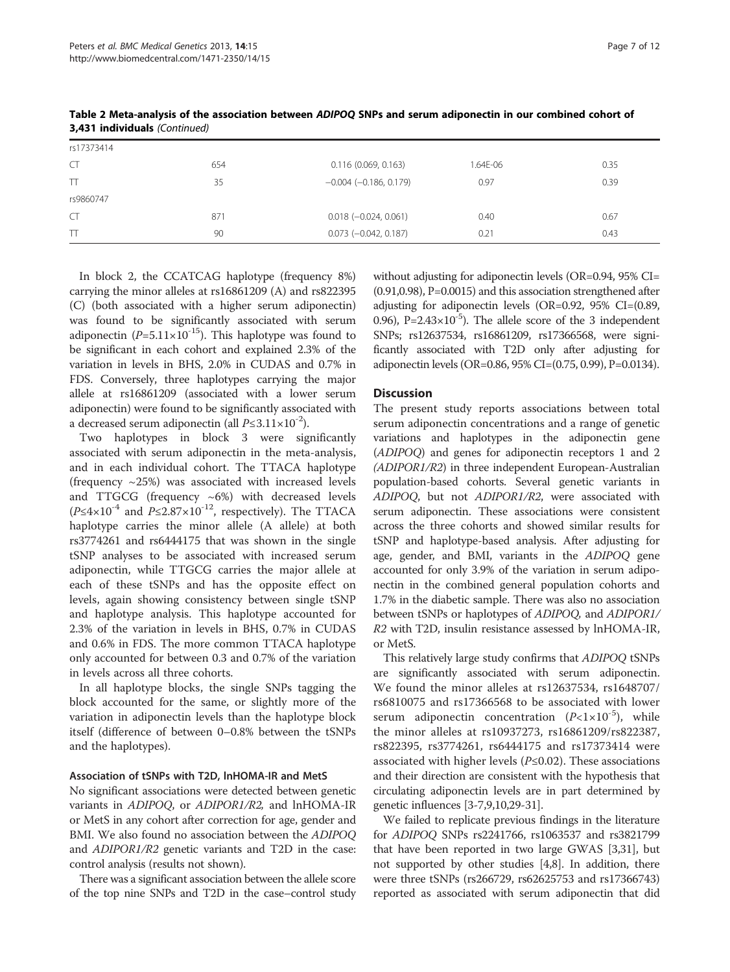| rs17373414 |     |                            |          |      |
|------------|-----|----------------------------|----------|------|
| CT         | 654 | 0.116(0.069, 0.163)        | 1.64E-06 | 0.35 |
| π          | 35  | $-0.004$ $(-0.186, 0.179)$ | 0.97     | 0.39 |
| rs9860747  |     |                            |          |      |
| CT         | 87  | $0.018 (-0.024, 0.061)$    | 0.40     | 0.67 |
| π          | 90  | $0.073 (-0.042, 0.187)$    | 0.21     | 0.43 |

Table 2 Meta-analysis of the association between ADIPOQ SNPs and serum adiponectin in our combined cohort of 3,431 individuals (Continued)

In block 2, the CCATCAG haplotype (frequency 8%) carrying the minor alleles at rs16861209 (A) and rs822395 (C) (both associated with a higher serum adiponectin) was found to be significantly associated with serum adiponectin ( $P=5.11\times10^{-15}$ ). This haplotype was found to be significant in each cohort and explained 2.3% of the variation in levels in BHS, 2.0% in CUDAS and 0.7% in FDS. Conversely, three haplotypes carrying the major allele at rs16861209 (associated with a lower serum adiponectin) were found to be significantly associated with a decreased serum adiponectin (all  $P \leq 3.11 \times 10^{-2}$ ).

Two haplotypes in block 3 were significantly associated with serum adiponectin in the meta-analysis, and in each individual cohort. The TTACA haplotype (frequency ~25%) was associated with increased levels and TTGCG (frequency ~6%) with decreased levels ( $P \leq 4 \times 10^{-4}$  and  $P \leq 2.87 \times 10^{-12}$ , respectively). The TTACA haplotype carries the minor allele (A allele) at both rs3774261 and rs6444175 that was shown in the single tSNP analyses to be associated with increased serum adiponectin, while TTGCG carries the major allele at each of these tSNPs and has the opposite effect on levels, again showing consistency between single tSNP and haplotype analysis. This haplotype accounted for 2.3% of the variation in levels in BHS, 0.7% in CUDAS and 0.6% in FDS. The more common TTACA haplotype only accounted for between 0.3 and 0.7% of the variation in levels across all three cohorts.

In all haplotype blocks, the single SNPs tagging the block accounted for the same, or slightly more of the variation in adiponectin levels than the haplotype block itself (difference of between 0–0.8% between the tSNPs and the haplotypes).

## Association of tSNPs with T2D, lnHOMA-IR and MetS

No significant associations were detected between genetic variants in ADIPOQ, or ADIPOR1/R2, and lnHOMA-IR or MetS in any cohort after correction for age, gender and BMI. We also found no association between the ADIPOQ and ADIPOR1/R2 genetic variants and T2D in the case: control analysis (results not shown).

There was a significant association between the allele score of the top nine SNPs and T2D in the case–control study without adjusting for adiponectin levels (OR=0.94, 95% CI= (0.91,0.98), P=0.0015) and this association strengthened after adjusting for adiponectin levels (OR=0.92, 95% CI=(0.89, 0.96),  $P=2.43\times10^{-5}$ . The allele score of the 3 independent SNPs; rs12637534, rs16861209, rs17366568, were significantly associated with T2D only after adjusting for adiponectin levels (OR=0.86, 95% CI=(0.75, 0.99), P=0.0134).

# **Discussion**

The present study reports associations between total serum adiponectin concentrations and a range of genetic variations and haplotypes in the adiponectin gene (ADIPOQ) and genes for adiponectin receptors 1 and 2 (ADIPOR1/R2) in three independent European-Australian population-based cohorts. Several genetic variants in ADIPOQ, but not ADIPOR1/R2, were associated with serum adiponectin. These associations were consistent across the three cohorts and showed similar results for tSNP and haplotype-based analysis. After adjusting for age, gender, and BMI, variants in the ADIPOQ gene accounted for only 3.9% of the variation in serum adiponectin in the combined general population cohorts and 1.7% in the diabetic sample. There was also no association between tSNPs or haplotypes of ADIPOQ, and ADIPOR1/ R2 with T2D, insulin resistance assessed by lnHOMA-IR, or MetS.

This relatively large study confirms that ADIPOQ tSNPs are significantly associated with serum adiponectin. We found the minor alleles at rs12637534, rs1648707/ rs6810075 and rs17366568 to be associated with lower serum adiponectin concentration  $(P<1×10^{-5})$ , while the minor alleles at rs10937273, rs16861209/rs822387, rs822395, rs3774261, rs6444175 and rs17373414 were associated with higher levels  $(P \le 0.02)$ . These associations and their direction are consistent with the hypothesis that circulating adiponectin levels are in part determined by genetic influences [[3-](#page-10-0)[7,9,10,29](#page-11-0)-[31](#page-11-0)].

We failed to replicate previous findings in the literature for ADIPOQ SNPs rs2241766, rs1063537 and rs3821799 that have been reported in two large GWAS [\[3](#page-10-0)[,31\]](#page-11-0), but not supported by other studies [\[4](#page-10-0)[,8](#page-11-0)]. In addition, there were three tSNPs (rs266729, rs62625753 and rs17366743) reported as associated with serum adiponectin that did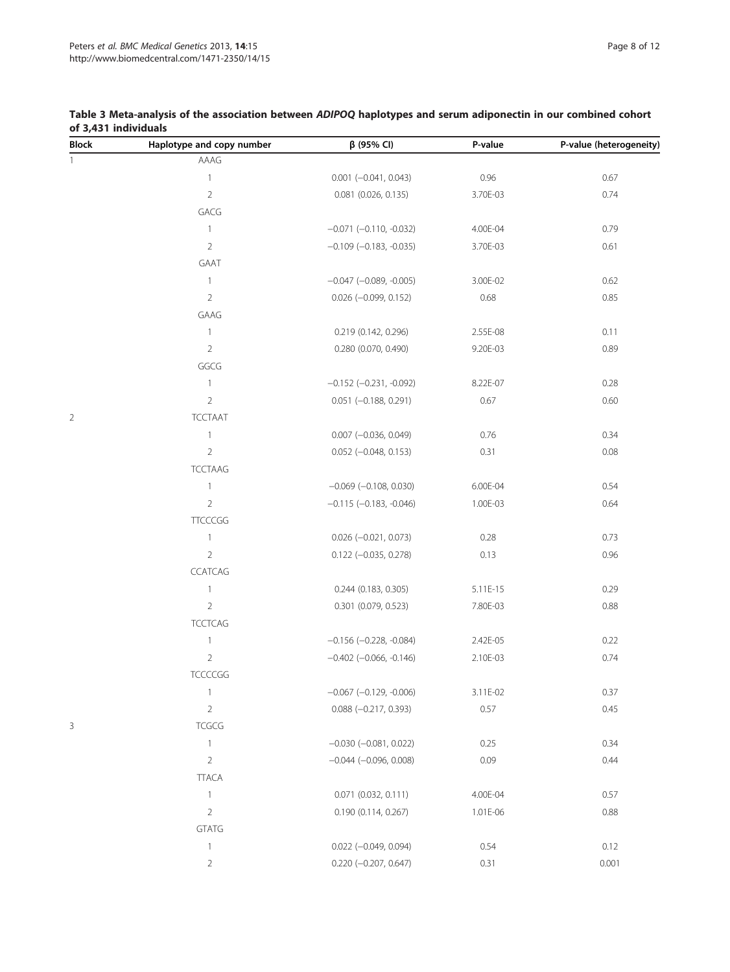| <b>Block</b> | Haplotype and copy number | $\beta$ (95% CI)                 | P-value                                                                          | P-value (heterogeneity) |
|--------------|---------------------------|----------------------------------|----------------------------------------------------------------------------------|-------------------------|
| 1            | AAAG                      |                                  |                                                                                  |                         |
|              | $\mathbf{1}$              | $0.001 (-0.041, 0.043)$          | 0.96                                                                             | 0.67                    |
|              | $\overline{2}$            | 0.081 (0.026, 0.135)             | 3.70E-03                                                                         | 0.74                    |
|              | GACG                      |                                  |                                                                                  |                         |
|              | $\overline{1}$            | $-0.071$ $(-0.110, -0.032)$      | 4.00E-04                                                                         | 0.79                    |
|              | $\overline{2}$            | $-0.109$ $(-0.183, -0.035)$      | 3.70E-03                                                                         | 0.61                    |
|              | GAAT                      |                                  |                                                                                  |                         |
|              | $\overline{1}$            | $-0.047$ ( $-0.089$ , $-0.005$ ) | 3.00E-02                                                                         | 0.62                    |
|              | $\overline{2}$            | 0.026 (-0.099, 0.152)            | 0.68                                                                             | 0.85                    |
|              | GAAG                      |                                  |                                                                                  |                         |
|              | $\mathbf{1}$              | 0.219 (0.142, 0.296)             | 2.55E-08                                                                         | 0.11                    |
|              | $\overline{2}$            | 0.280 (0.070, 0.490)             | 9.20E-03                                                                         | 0.89                    |
|              | GGCG                      |                                  |                                                                                  |                         |
|              | $\overline{1}$            | $-0.152$ $(-0.231, -0.092)$      | 8.22E-07                                                                         | 0.28                    |
|              | $\overline{2}$            | $0.051 (-0.188, 0.291)$          | 0.67                                                                             | 0.60                    |
| 2            | <b>TCCTAAT</b>            |                                  |                                                                                  |                         |
|              | $\mathbf{1}$              | $0.007 (-0.036, 0.049)$          | 0.76                                                                             | 0.34                    |
|              | $\overline{2}$            | $0.052 (-0.048, 0.153)$          | 0.31                                                                             | 0.08                    |
|              | <b>TCCTAAG</b>            |                                  |                                                                                  |                         |
|              | $\mathbf{1}$              | $-0.069$ $(-0.108, 0.030)$       | 6.00E-04                                                                         | 0.54                    |
|              | $\overline{2}$            | $-0.115 (-0.183, -0.046)$        | 1.00E-03                                                                         | 0.64                    |
|              | <b>TTCCCGG</b>            |                                  |                                                                                  |                         |
|              | $\mathbf{1}$              | $0.026 (-0.021, 0.073)$          | 0.28                                                                             | 0.73                    |
|              | $\overline{2}$            | $0.122 (-0.035, 0.278)$          | 0.13                                                                             | 0.96                    |
|              | CCATCAG                   |                                  | 5.11E-15<br>7.80E-03<br>2.42E-05<br>2.10E-03<br>3.11E-02<br>0.57<br>0.25<br>0.09 |                         |
|              | $\mathbf{1}$              | $0.244$ (0.183, 0.305)           |                                                                                  | 0.29                    |
|              | $\overline{2}$            | 0.301 (0.079, 0.523)             |                                                                                  | 0.88                    |
|              | <b>TCCTCAG</b>            |                                  |                                                                                  |                         |
|              | $\mathbf{1}$              | $-0.156$ $(-0.228, -0.084)$      |                                                                                  | 0.22                    |
|              | $\overline{2}$            | $-0.402$ $(-0.066, -0.146)$      |                                                                                  | 0.74                    |
|              | <b>TCCCCGG</b>            |                                  |                                                                                  |                         |
|              | $\mathbf{1}$              | $-0.067$ ( $-0.129$ , $-0.006$ ) |                                                                                  | 0.37                    |
|              | $\sqrt{2}$                | $0.088 (-0.217, 0.393)$          |                                                                                  | 0.45                    |
| 3            | <b>TCGCG</b>              |                                  |                                                                                  |                         |
|              | $\mathbf{1}$              | $-0.030$ $(-0.081, 0.022)$       |                                                                                  | 0.34                    |
|              | $\overline{2}$            | $-0.044$ $(-0.096, 0.008)$       |                                                                                  | 0.44                    |
|              | <b>TTACA</b>              |                                  |                                                                                  |                         |
|              | $\mathbf{1}$              | 0.071 (0.032, 0.111)             | 4.00E-04                                                                         | 0.57                    |
|              | $\overline{2}$            | 0.190 (0.114, 0.267)             | 1.01E-06                                                                         | 0.88                    |
|              | <b>GTATG</b>              |                                  |                                                                                  |                         |
|              | $\mathbf{1}$              | $0.022 (-0.049, 0.094)$          | 0.54                                                                             | 0.12                    |
|              | $\overline{2}$            | $0.220 (-0.207, 0.647)$          | 0.31                                                                             | 0.001                   |
|              |                           |                                  |                                                                                  |                         |

# <span id="page-8-0"></span>Table 3 Meta-analysis of the association between ADIPOQ haplotypes and serum adiponectin in our combined cohort of 3,431 individuals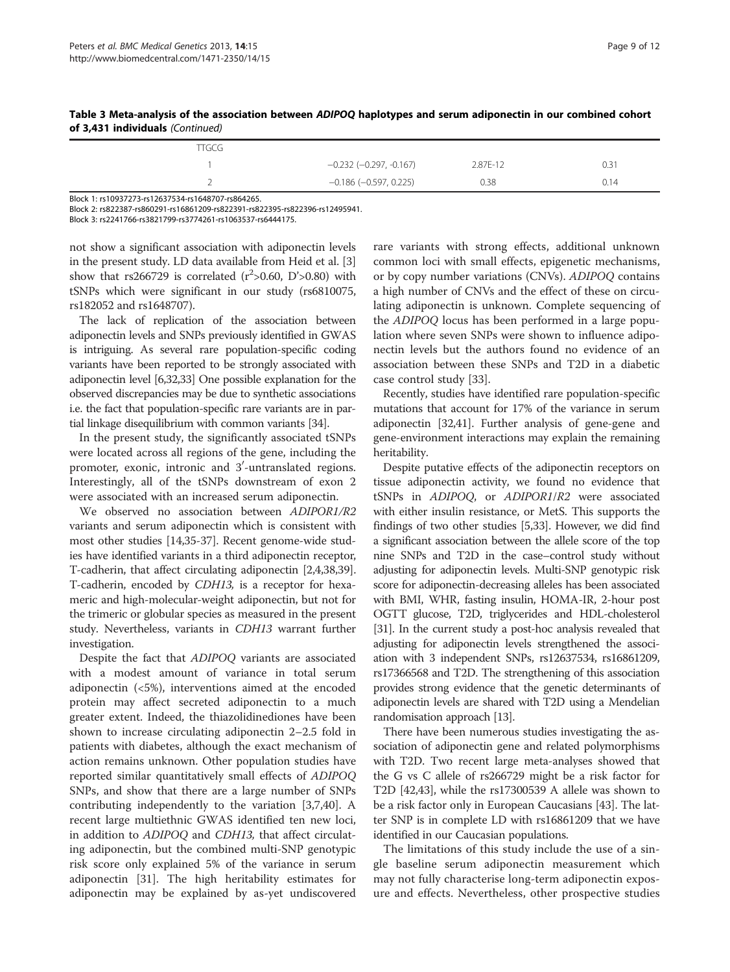| ___ |      |                                  |          |       |
|-----|------|----------------------------------|----------|-------|
|     | TGCG |                                  |          |       |
|     |      | $-0.232$ ( $-0.297$ , $-0.167$ ) | 2.87E-12 | ت ک.ل |
|     |      | $-0.186$ ( $-0.597$ , 0.225)     | 0.38     | 0.14  |

Table 3 Meta-analysis of the association between ADIPOQ haplotypes and serum adiponectin in our combined cohort of 3,431 individuals (Continued)

Block 1: rs10937273-rs12637534-rs1648707-rs864265.

Block 2: rs822387-rs860291-rs16861209-rs822391-rs822395-rs822396-rs12495941.

Block 3: rs2241766-rs3821799-rs3774261-rs1063537-rs6444175.

not show a significant association with adiponectin levels in the present study. LD data available from Heid et al. [[3](#page-10-0)] show that  $rs266729$  is correlated  $(r^2>0.60, D' > 0.80)$  with tSNPs which were significant in our study (rs6810075, rs182052 and rs1648707).

The lack of replication of the association between adiponectin levels and SNPs previously identified in GWAS is intriguing. As several rare population-specific coding variants have been reported to be strongly associated with adiponectin level [\[6,32,33](#page-11-0)] One possible explanation for the observed discrepancies may be due to synthetic associations i.e. the fact that population-specific rare variants are in partial linkage disequilibrium with common variants [\[34\]](#page-11-0).

In the present study, the significantly associated tSNPs were located across all regions of the gene, including the promoter, exonic, intronic and  $3'$ -untranslated regions. Interestingly, all of the tSNPs downstream of exon 2 were associated with an increased serum adiponectin.

We observed no association between ADIPOR1/R2 variants and serum adiponectin which is consistent with most other studies [[14,35](#page-11-0)-[37](#page-11-0)]. Recent genome-wide studies have identified variants in a third adiponectin receptor, T-cadherin, that affect circulating adiponectin [\[2,4](#page-10-0)[,38,39](#page-11-0)]. T-cadherin, encoded by CDH13, is a receptor for hexameric and high-molecular-weight adiponectin, but not for the trimeric or globular species as measured in the present study. Nevertheless, variants in CDH13 warrant further investigation.

Despite the fact that ADIPOQ variants are associated with a modest amount of variance in total serum adiponectin (<5%), interventions aimed at the encoded protein may affect secreted adiponectin to a much greater extent. Indeed, the thiazolidinediones have been shown to increase circulating adiponectin 2–2.5 fold in patients with diabetes, although the exact mechanism of action remains unknown. Other population studies have reported similar quantitatively small effects of ADIPOQ SNPs, and show that there are a large number of SNPs contributing independently to the variation [[3](#page-10-0),[7](#page-11-0),[40](#page-11-0)]. A recent large multiethnic GWAS identified ten new loci, in addition to ADIPOQ and CDH13, that affect circulating adiponectin, but the combined multi-SNP genotypic risk score only explained 5% of the variance in serum adiponectin [[31](#page-11-0)]. The high heritability estimates for adiponectin may be explained by as-yet undiscovered rare variants with strong effects, additional unknown common loci with small effects, epigenetic mechanisms, or by copy number variations (CNVs). ADIPOQ contains a high number of CNVs and the effect of these on circulating adiponectin is unknown. Complete sequencing of the ADIPOQ locus has been performed in a large population where seven SNPs were shown to influence adiponectin levels but the authors found no evidence of an association between these SNPs and T2D in a diabetic case control study [\[33](#page-11-0)].

Recently, studies have identified rare population-specific mutations that account for 17% of the variance in serum adiponectin [\[32,41\]](#page-11-0). Further analysis of gene-gene and gene-environment interactions may explain the remaining heritability.

Despite putative effects of the adiponectin receptors on tissue adiponectin activity, we found no evidence that tSNPs in ADIPOQ, or ADIPOR1/R2 were associated with either insulin resistance, or MetS. This supports the findings of two other studies [\[5](#page-10-0)[,33\]](#page-11-0). However, we did find a significant association between the allele score of the top nine SNPs and T2D in the case–control study without adjusting for adiponectin levels. Multi-SNP genotypic risk score for adiponectin-decreasing alleles has been associated with BMI, WHR, fasting insulin, HOMA-IR, 2-hour post OGTT glucose, T2D, triglycerides and HDL-cholesterol [[31](#page-11-0)]. In the current study a post-hoc analysis revealed that adjusting for adiponectin levels strengthened the association with 3 independent SNPs, rs12637534, rs16861209, rs17366568 and T2D. The strengthening of this association provides strong evidence that the genetic determinants of adiponectin levels are shared with T2D using a Mendelian randomisation approach [[13](#page-11-0)].

There have been numerous studies investigating the association of adiponectin gene and related polymorphisms with T2D. Two recent large meta-analyses showed that the G vs C allele of rs266729 might be a risk factor for T2D [\[42](#page-11-0)[,43\]](#page-12-0), while the rs17300539 A allele was shown to be a risk factor only in European Caucasians [\[43\]](#page-12-0). The latter SNP is in complete LD with rs16861209 that we have identified in our Caucasian populations.

The limitations of this study include the use of a single baseline serum adiponectin measurement which may not fully characterise long-term adiponectin exposure and effects. Nevertheless, other prospective studies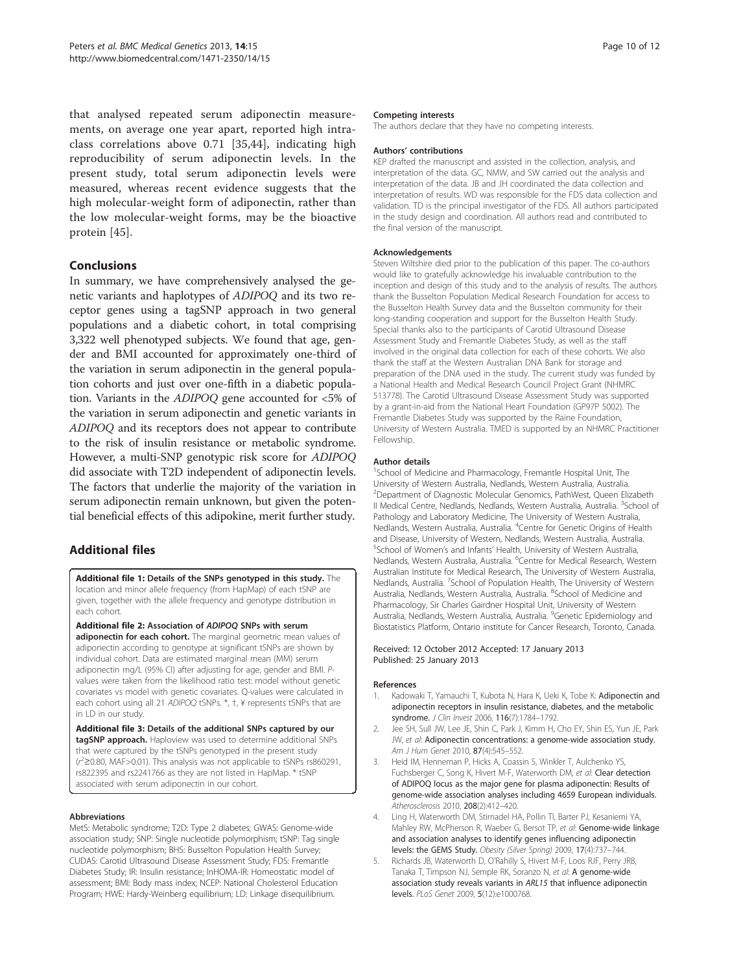<span id="page-10-0"></span>that analysed repeated serum adiponectin measurements, on average one year apart, reported high intraclass correlations above 0.71 [\[35](#page-11-0)[,44](#page-12-0)], indicating high reproducibility of serum adiponectin levels. In the present study, total serum adiponectin levels were measured, whereas recent evidence suggests that the high molecular-weight form of adiponectin, rather than the low molecular-weight forms, may be the bioactive protein [[45\]](#page-12-0).

# Conclusions

In summary, we have comprehensively analysed the genetic variants and haplotypes of ADIPOQ and its two receptor genes using a tagSNP approach in two general populations and a diabetic cohort, in total comprising 3,322 well phenotyped subjects. We found that age, gender and BMI accounted for approximately one-third of the variation in serum adiponectin in the general population cohorts and just over one-fifth in a diabetic population. Variants in the ADIPOQ gene accounted for <5% of the variation in serum adiponectin and genetic variants in ADIPOQ and its receptors does not appear to contribute to the risk of insulin resistance or metabolic syndrome. However, a multi-SNP genotypic risk score for ADIPOQ did associate with T2D independent of adiponectin levels. The factors that underlie the majority of the variation in serum adiponectin remain unknown, but given the potential beneficial effects of this adipokine, merit further study.

# Additional files

[Additional file 1:](http://www.biomedcentral.com/content/supplementary/1471-2350-14-15-S1.xls) Details of the SNPs genotyped in this study. The location and minor allele frequency (from HapMap) of each tSNP are given, together with the allele frequency and genotype distribution in each cohort.

[Additional file 2:](http://www.biomedcentral.com/content/supplementary/1471-2350-14-15-S2.xls) Association of ADIPOQ SNPs with serum adiponectin for each cohort. The marginal geometric mean values of adiponectin according to genotype at significant tSNPs are shown by individual cohort. Data are estimated marginal mean (MM) serum adiponectin mg/L (95% CI) after adjusting for age, gender and BMI. Pvalues were taken from the likelihood ratio test: model without genetic covariates vs model with genetic covariates. Q-values were calculated in each cohort using all 21 ADIPOQ tSNPs. \*, +, \t represents tSNPs that are in LD in our study.

[Additional file 3:](http://www.biomedcentral.com/content/supplementary/1471-2350-14-15-S3.xls) Details of the additional SNPs captured by our tagSNP approach. Haploview was used to determine additional SNPs that were captured by the tSNPs genotyped in the present study (r 2 ≥0.80, MAF>0.01). This analysis was not applicable to tSNPs rs860291, rs822395 and rs2241766 as they are not listed in HapMap. \* tSNP associated with serum adiponectin in our cohort.

#### Abbreviations

MetS: Metabolic syndrome; T2D: Type 2 diabetes; GWAS: Genome-wide association study; SNP: Single nucleotide polymorphism; tSNP: Tag single nucleotide polymorphism; BHS: Busselton Population Health Survey; CUDAS: Carotid Ultrasound Disease Assessment Study; FDS: Fremantle Diabetes Study; IR: Insulin resistance; lnHOMA-IR: Homeostatic model of assessment; BMI: Body mass index; NCEP: National Cholesterol Education Program; HWE: Hardy-Weinberg equilibrium; LD: Linkage disequilibrium.

#### Competing interests

The authors declare that they have no competing interests.

#### Authors' contributions

KEP drafted the manuscript and assisted in the collection, analysis, and interpretation of the data. GC, NMW, and SW carried out the analysis and interpretation of the data. JB and JH coordinated the data collection and interpretation of results. WD was responsible for the FDS data collection and validation. TD is the principal investigator of the FDS. All authors participated in the study design and coordination. All authors read and contributed to the final version of the manuscript.

#### Acknowledgements

Steven Wiltshire died prior to the publication of this paper. The co-authors would like to gratefully acknowledge his invaluable contribution to the inception and design of this study and to the analysis of results. The authors thank the Busselton Population Medical Research Foundation for access to the Busselton Health Survey data and the Busselton community for their long-standing cooperation and support for the Busselton Health Study. Special thanks also to the participants of Carotid Ultrasound Disease Assessment Study and Fremantle Diabetes Study, as well as the staff involved in the original data collection for each of these cohorts. We also thank the staff at the Western Australian DNA Bank for storage and preparation of the DNA used in the study. The current study was funded by a National Health and Medical Research Council Project Grant (NHMRC 513778). The Carotid Ultrasound Disease Assessment Study was supported by a grant-in-aid from the National Heart Foundation (GP97P 5002). The Fremantle Diabetes Study was supported by the Raine Foundation, University of Western Australia. TMED is supported by an NHMRC Practitioner Fellowship.

#### Author details

<sup>1</sup>School of Medicine and Pharmacology, Fremantle Hospital Unit, The University of Western Australia, Nedlands, Western Australia, Australia. <sup>2</sup>Department of Diagnostic Molecular Genomics, PathWest, Queen Elizabeth II Medical Centre, Nedlands, Nedlands, Western Australia, Australia. <sup>3</sup>School of Pathology and Laboratory Medicine, The University of Western Australia, Nedlands, Western Australia, Australia. <sup>4</sup>Centre for Genetic Origins of Health and Disease, University of Western, Nedlands, Western Australia, Australia. 5 School of Women's and Infants' Health, University of Western Australia, Nedlands, Western Australia, Australia. <sup>6</sup>Centre for Medical Research, Western Australian Institute for Medical Research, The University of Western Australia, Nedlands, Australia. <sup>7</sup> School of Population Health, The University of Western Australia, Nedlands, Western Australia, Australia. <sup>8</sup>School of Medicine and Pharmacology, Sir Charles Gairdner Hospital Unit, University of Western Australia, Nedlands, Western Australia, Australia. <sup>9</sup>Genetic Epidemiology and Biostatistics Platform, Ontario institute for Cancer Research, Toronto, Canada.

#### Received: 12 October 2012 Accepted: 17 January 2013 Published: 25 January 2013

#### References

- Kadowaki T, Yamauchi T, Kubota N, Hara K, Ueki K, Tobe K: Adiponectin and adiponectin receptors in insulin resistance, diabetes, and the metabolic syndrome. J Clin Invest 2006, 116(7):1784-1792.
- 2. Jee SH, Sull JW, Lee JE, Shin C, Park J, Kimm H, Cho EY, Shin ES, Yun JE, Park JW, et al: Adiponectin concentrations: a genome-wide association study. Am J Hum Genet 2010, 87(4):545–552.
- 3. Heid IM, Henneman P, Hicks A, Coassin S, Winkler T, Aulchenko YS, Fuchsberger C, Song K, Hivert M-F, Waterworth DM, et al: Clear detection of ADIPOQ locus as the major gene for plasma adiponectin: Results of genome-wide association analyses including 4659 European individuals. Atherosclerosis 2010, 208(2):412–420.
- 4. Ling H, Waterworth DM, Stirnadel HA, Pollin TI, Barter PJ, Kesaniemi YA, Mahley RW, McPherson R, Waeber G, Bersot TP, et al: Genome-wide linkage and association analyses to identify genes influencing adiponectin levels: the GEMS Study. Obesity (Silver Spring) 2009, 17(4):737–744.
- 5. Richards JB, Waterworth D, O'Rahilly S, Hivert M-F, Loos RJF, Perry JRB, Tanaka T, Timpson NJ, Semple RK, Soranzo N, et al: A genome-wide association study reveals variants in ARL15 that influence adiponectin levels. PLoS Genet 2009, 5(12):e1000768.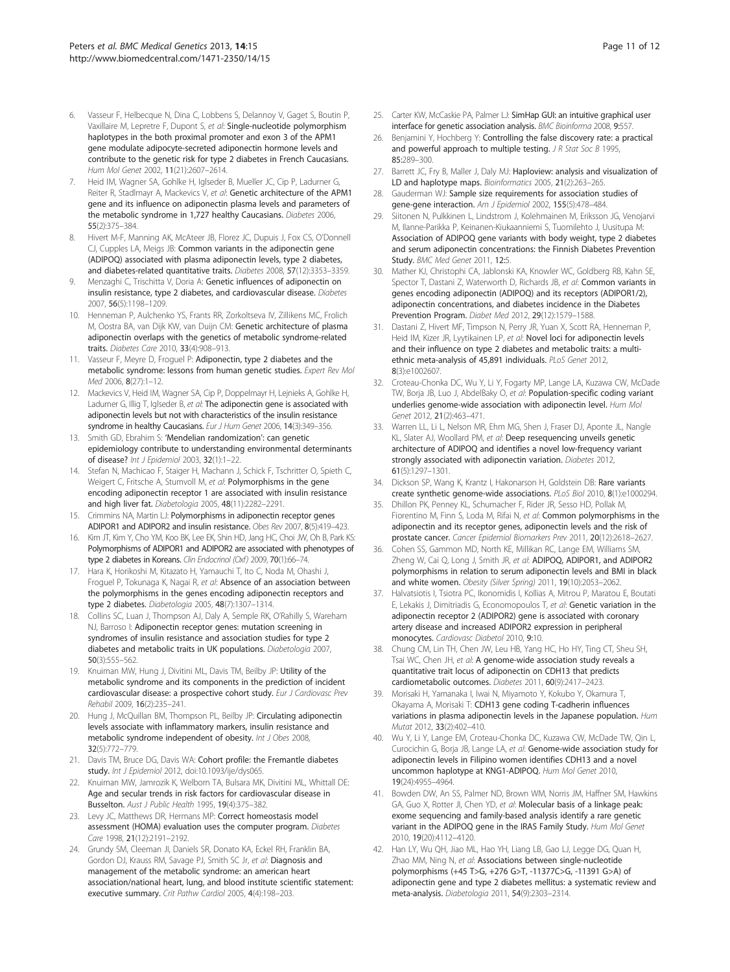- <span id="page-11-0"></span>Vasseur F, Helbecque N, Dina C, Lobbens S, Delannoy V, Gaget S, Boutin P, Vaxillaire M, Lepretre F, Dupont S, et al: Single-nucleotide polymorphism haplotypes in the both proximal promoter and exon 3 of the APM1 gene modulate adipocyte-secreted adiponectin hormone levels and contribute to the genetic risk for type 2 diabetes in French Caucasians. Hum Mol Genet 2002, 11(21):2607–2614.
- 7. Heid IM, Wagner SA, Gohlke H, Iglseder B, Mueller JC, Cip P, Ladurner G, Reiter R, Stadlmayr A, Mackevics V, et al: Genetic architecture of the APM1 gene and its influence on adiponectin plasma levels and parameters of the metabolic syndrome in 1,727 healthy Caucasians. Diabetes 2006, 55(2):375–384.
- 8. Hivert M-F, Manning AK, McAteer JB, Florez JC, Dupuis J, Fox CS, O'Donnell CJ, Cupples LA, Meigs JB: Common variants in the adiponectin gene (ADIPOQ) associated with plasma adiponectin levels, type 2 diabetes, and diabetes-related quantitative traits. Diabetes 2008, 57(12):3353–3359.
- Menzaghi C, Trischitta V, Doria A: Genetic influences of adiponectin on insulin resistance, type 2 diabetes, and cardiovascular disease. Diabetes 2007, 56(5):1198–1209.
- 10. Henneman P, Aulchenko YS, Frants RR, Zorkoltseva IV, Zillikens MC, Frolich M, Oostra BA, van Dijk KW, van Duijn CM: Genetic architecture of plasma adiponectin overlaps with the genetics of metabolic syndrome-related traits. Diabetes Care 2010, 33(4):908–913.
- 11. Vasseur F, Meyre D, Froguel P: Adiponectin, type 2 diabetes and the metabolic syndrome: lessons from human genetic studies. Expert Rev Mol Med 2006, 8(27):1–12.
- 12. Mackevics V, Heid IM, Wagner SA, Cip P, Doppelmayr H, Lejnieks A, Gohlke H, Ladurner G, Illig T, Iglseder B, et al: The adiponectin gene is associated with adiponectin levels but not with characteristics of the insulin resistance syndrome in healthy Caucasians. Eur J Hum Genet 2006, 14(3):349-356.
- 13. Smith GD, Ebrahim S: 'Mendelian randomization': can genetic epidemiology contribute to understanding environmental determinants of disease? Int J Epidemiol 2003, 32(1):1–22.
- 14. Stefan N, Machicao F, Staiger H, Machann J, Schick F, Tschritter O, Spieth C, Weigert C, Fritsche A, Stumvoll M, et al: Polymorphisms in the gene encoding adiponectin receptor 1 are associated with insulin resistance and high liver fat. Diabetologia 2005, 48(11):2282–2291.
- 15. Crimmins NA, Martin LJ: Polymorphisms in adiponectin receptor genes ADIPOR1 and ADIPOR2 and insulin resistance. Obes Rev 2007, 8(5):419–423.
- 16. Kim JT, Kim Y, Cho YM, Koo BK, Lee EK, Shin HD, Jang HC, Choi JW, Oh B, Park KS: Polymorphisms of ADIPOR1 and ADIPOR2 are associated with phenotypes of type 2 diabetes in Koreans. Clin Endocrinol (Oxf) 2009, 70(1):66-74.
- 17. Hara K, Horikoshi M, Kitazato H, Yamauchi T, Ito C, Noda M, Ohashi J, Froguel P, Tokunaga K, Nagai R, et al: Absence of an association between the polymorphisms in the genes encoding adiponectin receptors and type 2 diabetes. Diabetologia 2005, 48(7):1307–1314.
- 18. Collins SC, Luan J, Thompson AJ, Daly A, Semple RK, O'Rahilly S, Wareham NJ, Barroso I: Adiponectin receptor genes: mutation screening in syndromes of insulin resistance and association studies for type 2 diabetes and metabolic traits in UK populations. Diabetologia 2007, 50(3):555–562.
- 19. Knuiman MW, Hung J, Divitini ML, Davis TM, Beilby JP: Utility of the metabolic syndrome and its components in the prediction of incident cardiovascular disease: a prospective cohort study. Eur J Cardiovasc Prev Rehabil 2009, 16(2):235–241.
- 20. Hung J, McQuillan BM, Thompson PL, Beilby JP: Circulating adiponectin levels associate with inflammatory markers, insulin resistance and metabolic syndrome independent of obesity. Int J Obes 2008, 32(5):772–779.
- 21. Davis TM, Bruce DG, Davis WA: Cohort profile: the Fremantle diabetes study. Int J Epidemiol 2012, doi[:10.1093/ije/dys065](http://dx.doi.org/10.1093/ije/dys065).
- 22. Knuiman MW, Jamrozik K, Welborn TA, Bulsara MK, Divitini ML, Whittall DE: Age and secular trends in risk factors for cardiovascular disease in Busselton. Aust J Public Health 1995, 19(4):375–382.
- 23. Levy JC, Matthews DR, Hermans MP: Correct homeostasis model assessment (HOMA) evaluation uses the computer program. Diabetes Care 1998, 21(12):2191–2192.
- 24. Grundy SM, Cleeman JI, Daniels SR, Donato KA, Eckel RH, Franklin BA, Gordon DJ, Krauss RM, Savage PJ, Smith SC Jr, et al: Diagnosis and management of the metabolic syndrome: an american heart association/national heart, lung, and blood institute scientific statement: executive summary. Crit Pathw Cardiol 2005, 4(4):198–203.
- 
- 25. Carter KW, McCaskie PA, Palmer LJ: SimHap GUI: an intuitive graphical user interface for genetic association analysis. BMC Bioinforma 2008, 9:557
- 26. Benjamini Y, Hochberg Y: Controlling the false discovery rate: a practical and powerful approach to multiple testing. J R Stat Soc B 1995, 85:289–300.
- 27. Barrett JC, Fry B, Maller J, Daly MJ: Haploview: analysis and visualization of LD and haplotype maps. Bioinformatics 2005, 21(2):263-265.
- 28. Gauderman WJ: Sample size requirements for association studies of gene-gene interaction. Am J Epidemiol 2002, 155(5):478–484.
- 29. Siitonen N, Pulkkinen L, Lindstrom J, Kolehmainen M, Eriksson JG, Venojarvi M, Ilanne-Parikka P, Keinanen-Kiukaanniemi S, Tuomilehto J, Uusitupa M: Association of ADIPOQ gene variants with body weight, type 2 diabetes and serum adiponectin concentrations: the Finnish Diabetes Prevention Study. BMC Med Genet 2011, 12:5.
- 30. Mather KJ, Christophi CA, Jablonski KA, Knowler WC, Goldberg RB, Kahn SE, Spector T, Dastani Z, Waterworth D, Richards JB, et al: Common variants in genes encoding adiponectin (ADIPOQ) and its receptors (ADIPOR1/2), adiponectin concentrations, and diabetes incidence in the Diabetes Prevention Program. Diabet Med 2012, 29(12):1579–1588.
- 31. Dastani Z, Hivert MF, Timpson N, Perry JR, Yuan X, Scott RA, Henneman P, Heid IM, Kizer JR, Lyytikainen LP, et al: Novel loci for adiponectin levels and their influence on type 2 diabetes and metabolic traits: a multiethnic meta-analysis of 45,891 individuals. PLoS Genet 2012, 8(3):e1002607.
- 32. Croteau-Chonka DC, Wu Y, Li Y, Fogarty MP, Lange LA, Kuzawa CW, McDade TW, Borja JB, Luo J, AbdelBaky O, et al: Population-specific coding variant underlies genome-wide association with adiponectin level. Hum Mol Genet 2012, 21(2):463–471.
- 33. Warren LL, Li L, Nelson MR, Ehm MG, Shen J, Fraser DJ, Aponte JL, Nangle KL, Slater AJ, Woollard PM, et al: Deep resequencing unveils genetic architecture of ADIPOQ and identifies a novel low-frequency variant strongly associated with adiponectin variation. Diabetes 2012, 61(5):1297–1301.
- 34. Dickson SP, Wang K, Krantz I, Hakonarson H, Goldstein DB: Rare variants create synthetic genome-wide associations. PLoS Biol 2010, 8(1):e1000294.
- 35. Dhillon PK, Penney KL, Schumacher F, Rider JR, Sesso HD, Pollak M, Fiorentino M, Finn S, Loda M, Rifai N, et al: Common polymorphisms in the adiponectin and its receptor genes, adiponectin levels and the risk of prostate cancer. Cancer Epidemiol Biomarkers Prev 2011, 20(12):2618–2627.
- 36. Cohen SS, Gammon MD, North KE, Millikan RC, Lange EM, Williams SM, Zheng W, Cai Q, Long J, Smith JR, et al: ADIPOQ, ADIPOR1, and ADIPOR2 polymorphisms in relation to serum adiponectin levels and BMI in black and white women. Obesity (Silver Spring) 2011, 19(10):2053-2062
- 37. Halvatsiotis I, Tsiotra PC, Ikonomidis I, Kollias A, Mitrou P, Maratou E, Boutati E, Lekakis J, Dimitriadis G, Economopoulos T, et al: Genetic variation in the adiponectin receptor 2 (ADIPOR2) gene is associated with coronary artery disease and increased ADIPOR2 expression in peripheral monocytes. Cardiovasc Diabetol 2010, 9:10.
- 38. Chung CM, Lin TH, Chen JW, Leu HB, Yang HC, Ho HY, Ting CT, Sheu SH, Tsai WC, Chen JH, et al: A genome-wide association study reveals a quantitative trait locus of adiponectin on CDH13 that predicts cardiometabolic outcomes. Diabetes 2011, 60(9):2417–2423.
- 39. Morisaki H, Yamanaka I, Iwai N, Miyamoto Y, Kokubo Y, Okamura T, Okayama A, Morisaki T: CDH13 gene coding T-cadherin influences variations in plasma adiponectin levels in the Japanese population. Hum Mutat 2012, 33(2):402–410.
- 40. Wu Y, Li Y, Lange EM, Croteau-Chonka DC, Kuzawa CW, McDade TW, Qin L, Curocichin G, Borja JB, Lange LA, et al: Genome-wide association study for adiponectin levels in Filipino women identifies CDH13 and a novel uncommon haplotype at KNG1-ADIPOQ. Hum Mol Genet 2010, 19(24):4955–4964.
- 41. Bowden DW, An SS, Palmer ND, Brown WM, Norris JM, Haffner SM, Hawkins GA, Guo X, Rotter JJ, Chen YD, et al: **Molecular basis of a linkage peak:** exome sequencing and family-based analysis identify a rare genetic variant in the ADIPOQ gene in the IRAS Family Study. Hum Mol Genet 2010, 19(20):4112–4120.
- 42. Han LY, Wu QH, Jiao ML, Hao YH, Liang LB, Gao LJ, Legge DG, Quan H, Zhao MM, Ning N, et al: Associations between single-nucleotide polymorphisms (+45 T>G, +276 G>T, -11377C>G, -11391 G>A) of adiponectin gene and type 2 diabetes mellitus: a systematic review and meta-analysis. Diabetologia 2011, 54(9):2303–2314.